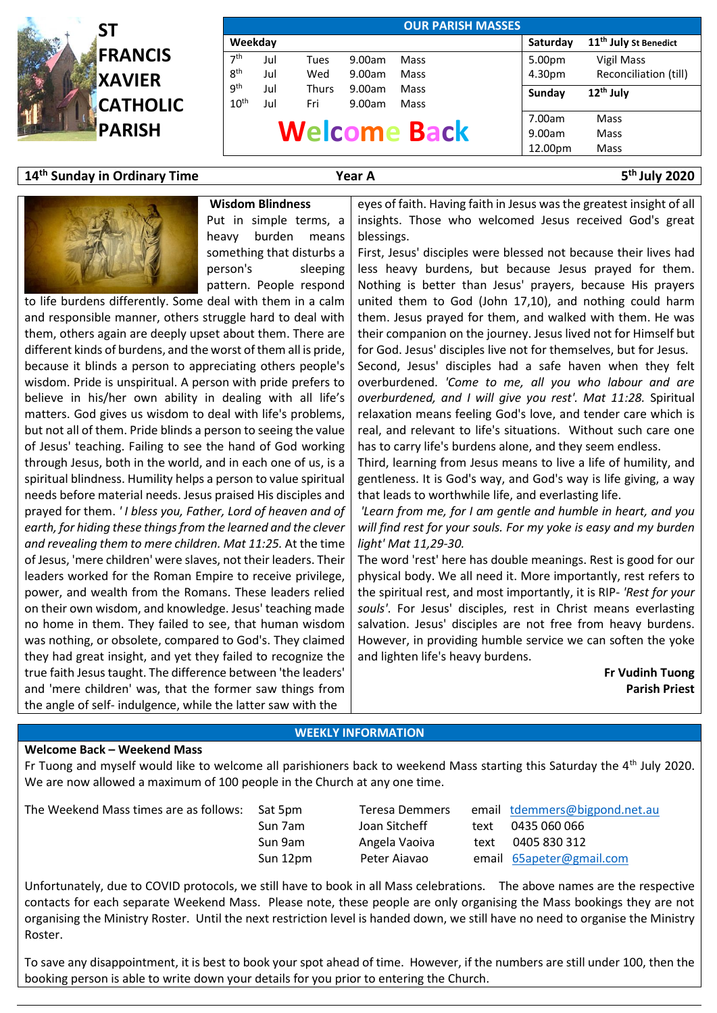

| <b>OUR PARISH MASSES</b> |         |              |                     |        |        |                                   |  |  |
|--------------------------|---------|--------------|---------------------|--------|--------|-----------------------------------|--|--|
|                          | Weekday |              |                     |        |        | 11 <sup>th</sup> July St Benedict |  |  |
| 7 <sup>th</sup>          | Jul     | Tues         | 9.00am              | Mass   | 5.00pm | Vigil Mass                        |  |  |
| 8 <sup>th</sup>          | Jul     | Wed          | 9.00am              | Mass   | 4.30pm | Reconciliation (till)             |  |  |
| gth                      | Jul     | <b>Thurs</b> | 9.00am              | Mass   | Sunday | 12 <sup>th</sup> July             |  |  |
| 10 <sup>th</sup>         | Jul     | Fri          | 9.00am              | Mass   |        |                                   |  |  |
|                          |         |              |                     | 7.00am | Mass   |                                   |  |  |
|                          |         |              | <b>Welcome Back</b> | 9.00am | Mass   |                                   |  |  |
|                          |         |              |                     |        |        | Mass                              |  |  |

## **14 th Sunday in Ordinary Time Year A 5**

**th July 2020**



Put in simple terms, a heavy burden means something that disturbs a person's sleeping pattern. People respond

**Wisdom Blindness**

to life burdens differently. Some deal with them in a calm and responsible manner, others struggle hard to deal with them, others again are deeply upset about them. There are different kinds of burdens, and the worst of them all is pride, because it blinds a person to appreciating others people's wisdom. Pride is unspiritual. A person with pride prefers to believe in his/her own ability in dealing with all life's matters. God gives us wisdom to deal with life's problems, but not all of them. Pride blinds a person to seeing the value of Jesus' teaching. Failing to see the hand of God working through Jesus, both in the world, and in each one of us, is a spiritual blindness. Humility helps a person to value spiritual needs before material needs. Jesus praised His disciples and prayed for them. *' I bless you, Father, Lord of heaven and of earth, for hiding these things from the learned and the clever and revealing them to mere children. Mat 11:25.* At the time of Jesus, 'mere children' were slaves, not their leaders. Their leaders worked for the Roman Empire to receive privilege, power, and wealth from the Romans. These leaders relied on their own wisdom, and knowledge. Jesus' teaching made no home in them. They failed to see, that human wisdom was nothing, or obsolete, compared to God's. They claimed they had great insight, and yet they failed to recognize the true faith Jesus taught. The difference between 'the leaders' and 'mere children' was, that the former saw things from the angle of self- indulgence, while the latter saw with the

eyes of faith. Having faith in Jesus wasthe greatest insight of all insights. Those who welcomed Jesus received God's great blessings.

First, Jesus' disciples were blessed not because their lives had less heavy burdens, but because Jesus prayed for them. Nothing is better than Jesus' prayers, because His prayers united them to God (John 17,10), and nothing could harm them. Jesus prayed for them, and walked with them. He was their companion on the journey. Jesus lived not for Himself but for God. Jesus' disciples live not for themselves, but for Jesus. Second, Jesus' disciples had a safe haven when they felt

overburdened. *'Come to me, all you who labour and are overburdened, and I will give you rest'. Mat 11:28.* Spiritual relaxation means feeling God's love, and tender care which is real, and relevant to life's situations. Without such care one has to carry life's burdens alone, and they seem endless.

Third, learning from Jesus means to live a life of humility, and gentleness. It is God's way, and God's way is life giving, a way that leads to worthwhile life, and everlasting life.

*'Learn from me, for I am gentle and humble in heart, and you will find rest for your souls. For my yoke is easy and my burden light' Mat 11,29-30.*

The word 'rest' here has double meanings. Rest is good for our physical body. We all need it. More importantly, rest refers to the spiritual rest, and most importantly, it is RIP- *'Rest for your souls'*. For Jesus' disciples, rest in Christ means everlasting salvation. Jesus' disciples are not free from heavy burdens. However, in providing humble service we can soften the yoke and lighten life's heavy burdens.

> **Fr Vudinh Tuong Parish Priest**

## **WEEKLY INFORMATION**

## **Welcome Back – Weekend Mass**

Fr Tuong and myself would like to welcome all parishioners back to weekend Mass starting this Saturday the 4<sup>th</sup> July 2020. We are now allowed a maximum of 100 people in the Church at any one time.

The Weekend Mass times are as follows: Sat 5pm Teresa Demmers email [tdemmers@bigpond.net.au](mailto:tdemmers@bigpond.net.au)

Sun 7am Joan Sitcheff text 0435 060 066 Sun 9am Angela Vaoiva text 0405 830 312 Sun 12pm Peter Aiavao email [65apeter@gmail.com](mailto:65apeter@gmail.com)

Unfortunately, due to COVID protocols, we still have to book in all Mass celebrations. The above names are the respective contacts for each separate Weekend Mass. Please note, these people are only organising the Mass bookings they are not organising the Ministry Roster. Until the next restriction level is handed down, we still have no need to organise the Ministry Roster.

To save any disappointment, it is best to book your spot ahead of time. However, if the numbers are still under 100, then the booking person is able to write down your details for you prior to entering the Church.